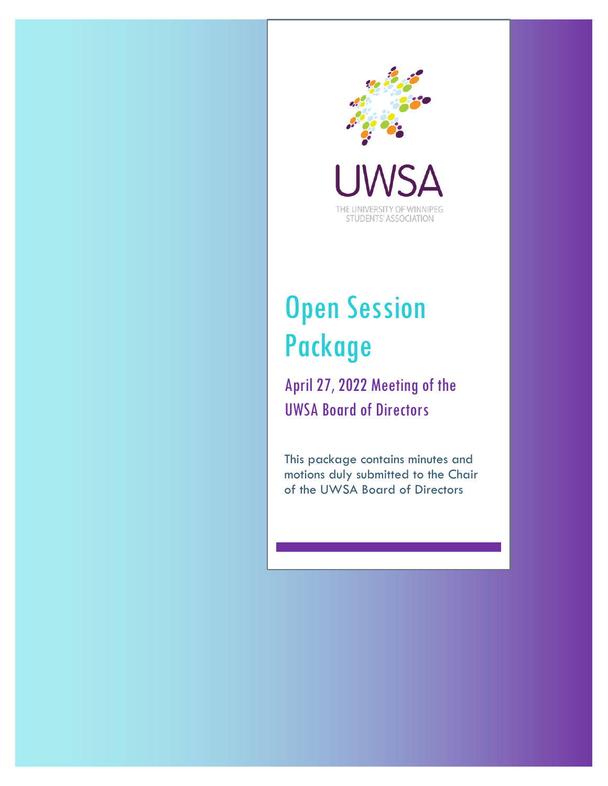

THE UNIVERSITY OF WINNIPEG **STUDENTS' ASSOCIATION** 

# **Open Session** Package

April 27, 2022 Meeting of the UWSA Board of Directors

This package contains minutes and motions duly submitted to the Chair of the UWSA Board of Directors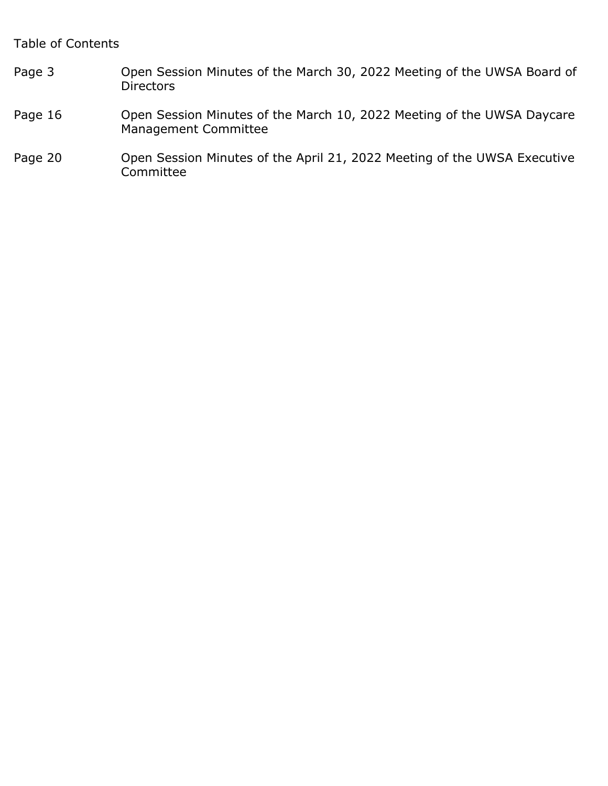## Table of Contents

- Page 3 Open Session Minutes of the March 30, 2022 Meeting of the UWSA Board of **Directors**
- Page 16 Open Session Minutes of the March 10, 2022 Meeting of the UWSA Daycare Management Committee
- Page 20 Open Session Minutes of the April 21, 2022 Meeting of the UWSA Executive Committee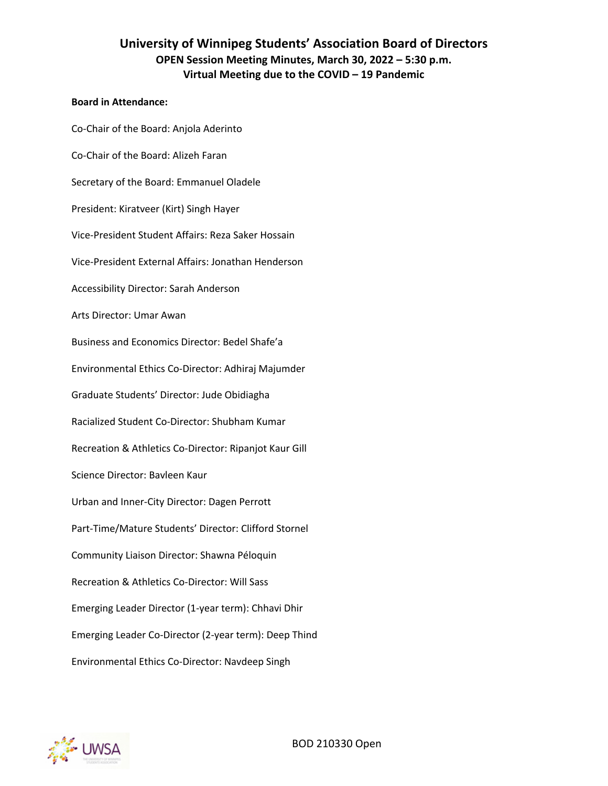#### **Board in Attendance:**

Co-Chair of the Board: Anjola Aderinto Co-Chair of the Board: Alizeh Faran Secretary of the Board: Emmanuel Oladele President: Kiratveer (Kirt) Singh Hayer Vice-President Student Affairs: Reza Saker Hossain Vice-President External Affairs: Jonathan Henderson Accessibility Director: Sarah Anderson Arts Director: Umar Awan Business and Economics Director: Bedel Shafe'a Environmental Ethics Co-Director: Adhiraj Majumder Graduate Students' Director: Jude Obidiagha Racialized Student Co-Director: Shubham Kumar Recreation & Athletics Co-Director: Ripanjot Kaur Gill Science Director: Bavleen Kaur Urban and Inner-City Director: Dagen Perrott Part-Time/Mature Students' Director: Clifford Stornel Community Liaison Director: Shawna Péloquin Recreation & Athletics Co-Director: Will Sass Emerging Leader Director (1-year term): Chhavi Dhir Emerging Leader Co-Director (2-year term): Deep Thind Environmental Ethics Co-Director: Navdeep Singh

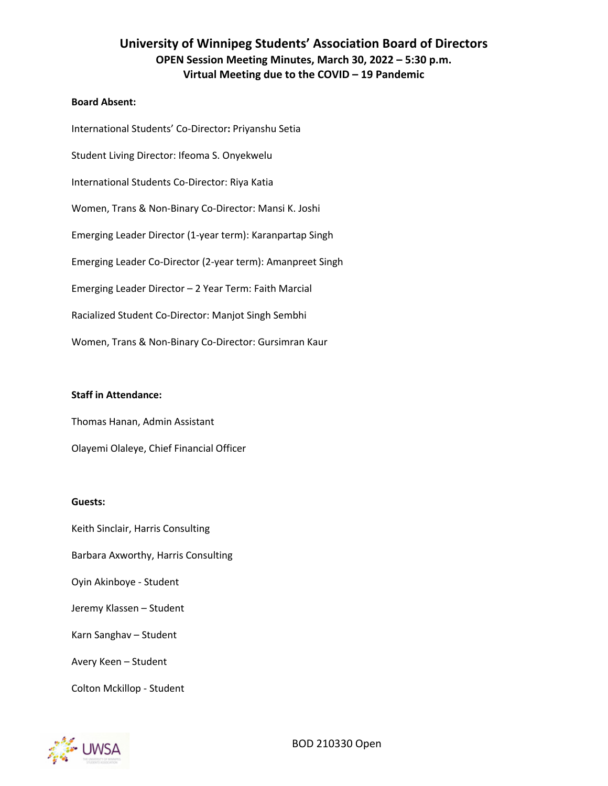#### **Board Absent:**

International Students' Co-Director**:** Priyanshu Setia Student Living Director: Ifeoma S. Onyekwelu International Students Co-Director: Riya Katia Women, Trans & Non-Binary Co-Director: Mansi K. Joshi Emerging Leader Director (1-year term): Karanpartap Singh Emerging Leader Co-Director (2-year term): Amanpreet Singh Emerging Leader Director – 2 Year Term: Faith Marcial Racialized Student Co-Director: Manjot Singh Sembhi Women, Trans & Non-Binary Co-Director: Gursimran Kaur

#### **Staff in Attendance:**

Thomas Hanan, Admin Assistant

Olayemi Olaleye, Chief Financial Officer

#### **Guests:**

Keith Sinclair, Harris Consulting Barbara Axworthy, Harris Consulting Oyin Akinboye - Student Jeremy Klassen – Student Karn Sanghav – Student Avery Keen – Student Colton Mckillop - Student

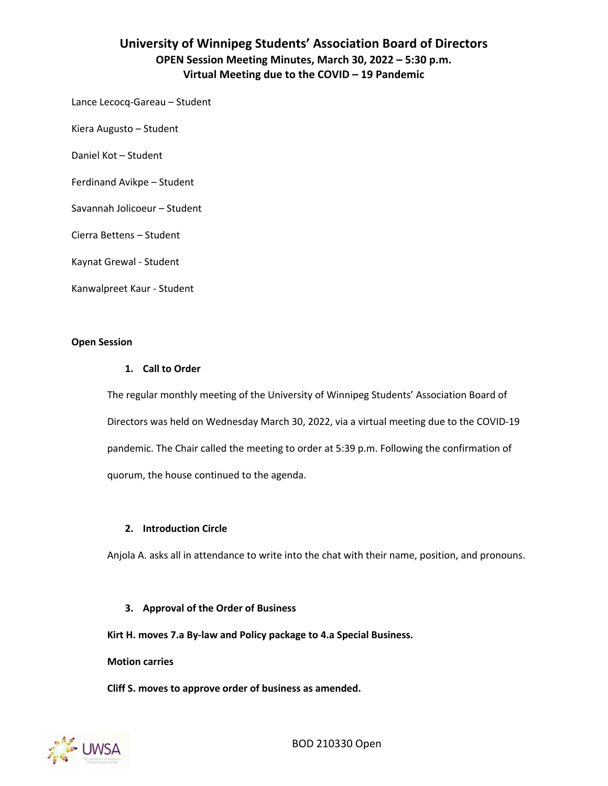Lance Lecocq-Gareau – Student

Kiera Augusto – Student

Daniel Kot – Student

Ferdinand Avikpe – Student

Savannah Jolicoeur – Student

Cierra Bettens – Student

Kaynat Grewal - Student

Kanwalpreet Kaur - Student

#### **Open Session**

#### **1. Call to Order**

The regular monthly meeting of the University of Winnipeg Students' Association Board of Directors was held on Wednesday March 30, 2022, via a virtual meeting due to the COVID-19 pandemic. The Chair called the meeting to order at 5:39 p.m. Following the confirmation of quorum, the house continued to the agenda.

#### **2. Introduction Circle**

Anjola A. asks all in attendance to write into the chat with their name, position, and pronouns.

#### **3. Approval of the Order of Business**

**Kirt H. moves 7.a By-law and Policy package to 4.a Special Business.**

#### **Motion carries**

**Cliff S. moves to approve order of business as amended.** 

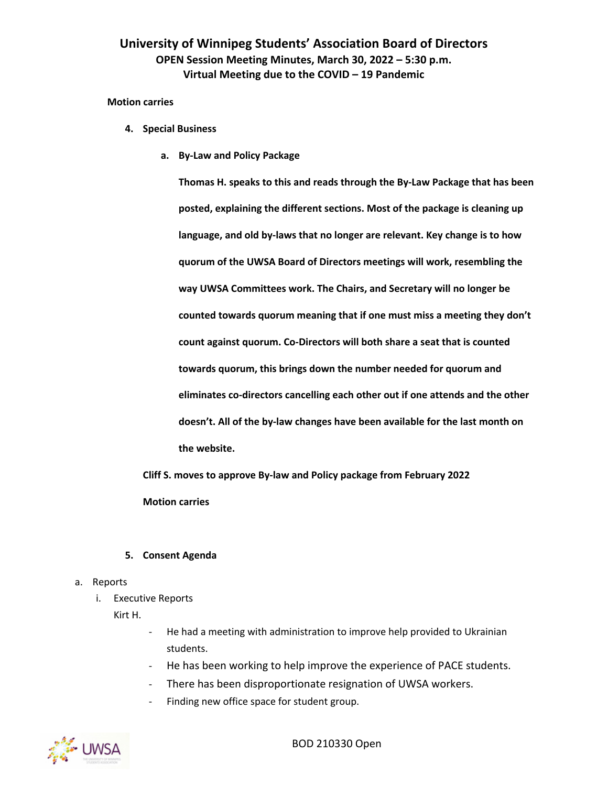#### **Motion carries**

- **4. Special Business**
	- **a. By-Law and Policy Package**

**Thomas H. speaks to this and reads through the By-Law Package that has been posted, explaining the different sections. Most of the package is cleaning up language, and old by-laws that no longer are relevant. Key change is to how quorum of the UWSA Board of Directors meetings will work, resembling the way UWSA Committees work. The Chairs, and Secretary will no longer be counted towards quorum meaning that if one must miss a meeting they don't count against quorum. Co-Directors will both share a seat that is counted towards quorum, this brings down the number needed for quorum and eliminates co-directors cancelling each other out if one attends and the other doesn't. All of the by-law changes have been available for the last month on the website.**

**Cliff S. moves to approve By-law and Policy package from February 2022**

#### **Motion carries**

#### **5. Consent Agenda**

- a. Reports
	- i. Executive Reports
		- Kirt H.
- He had a meeting with administration to improve help provided to Ukrainian students.
- He has been working to help improve the experience of PACE students.
- There has been disproportionate resignation of UWSA workers.
- Finding new office space for student group.



BOD 210330 Open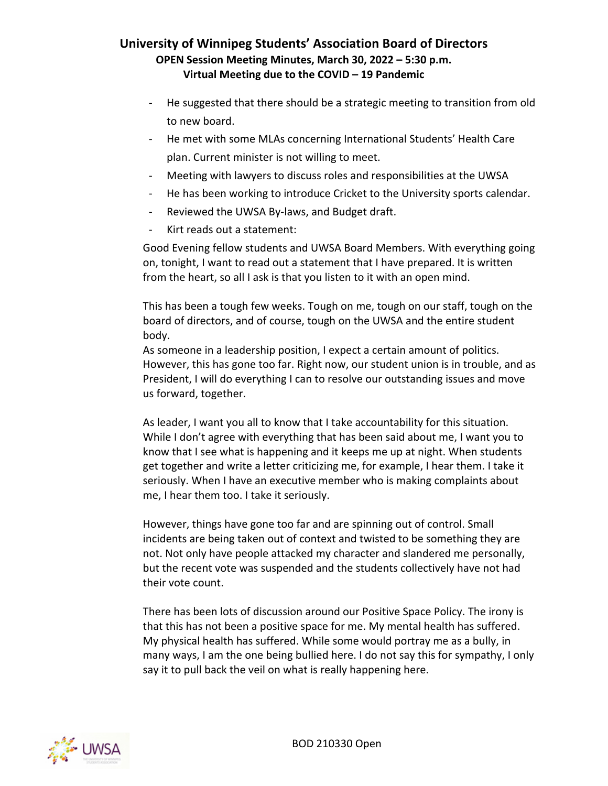- He suggested that there should be a strategic meeting to transition from old to new board.
- He met with some MLAs concerning International Students' Health Care plan. Current minister is not willing to meet.
- Meeting with lawyers to discuss roles and responsibilities at the UWSA
- He has been working to introduce Cricket to the University sports calendar.
- Reviewed the UWSA By-laws, and Budget draft.
- Kirt reads out a statement:

Good Evening fellow students and UWSA Board Members. With everything going on, tonight, I want to read out a statement that I have prepared. It is written from the heart, so all I ask is that you listen to it with an open mind.

This has been a tough few weeks. Tough on me, tough on our staff, tough on the board of directors, and of course, tough on the UWSA and the entire student body.

As someone in a leadership position, I expect a certain amount of politics. However, this has gone too far. Right now, our student union is in trouble, and as President, I will do everything I can to resolve our outstanding issues and move us forward, together.

As leader, I want you all to know that I take accountability for this situation. While I don't agree with everything that has been said about me, I want you to know that I see what is happening and it keeps me up at night. When students get together and write a letter criticizing me, for example, I hear them. I take it seriously. When I have an executive member who is making complaints about me, I hear them too. I take it seriously.

However, things have gone too far and are spinning out of control. Small incidents are being taken out of context and twisted to be something they are not. Not only have people attacked my character and slandered me personally, but the recent vote was suspended and the students collectively have not had their vote count.

There has been lots of discussion around our Positive Space Policy. The irony is that this has not been a positive space for me. My mental health has suffered. My physical health has suffered. While some would portray me as a bully, in many ways, I am the one being bullied here. I do not say this for sympathy, I only say it to pull back the veil on what is really happening here.

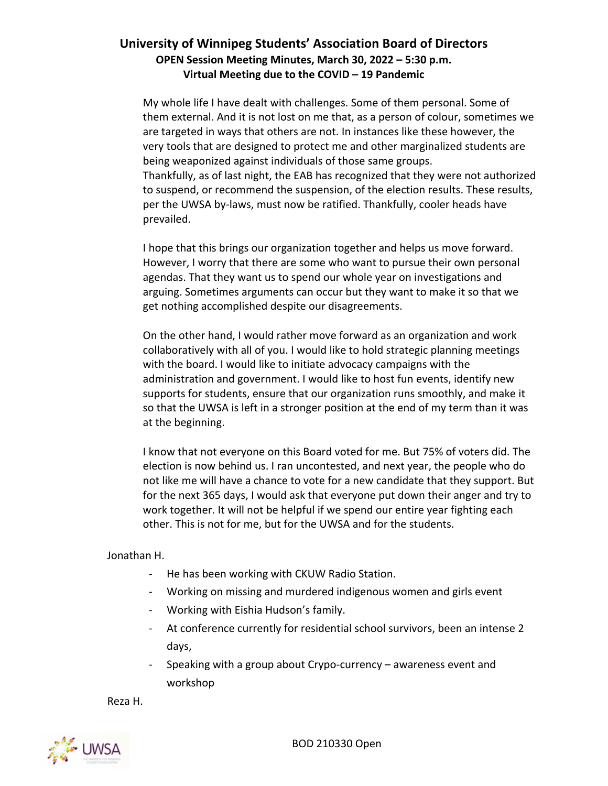My whole life I have dealt with challenges. Some of them personal. Some of them external. And it is not lost on me that, as a person of colour, sometimes we are targeted in ways that others are not. In instances like these however, the very tools that are designed to protect me and other marginalized students are being weaponized against individuals of those same groups. Thankfully, as of last night, the EAB has recognized that they were not authorized to suspend, or recommend the suspension, of the election results. These results, per the UWSA by-laws, must now be ratified. Thankfully, cooler heads have prevailed.

I hope that this brings our organization together and helps us move forward. However, I worry that there are some who want to pursue their own personal agendas. That they want us to spend our whole year on investigations and arguing. Sometimes arguments can occur but they want to make it so that we get nothing accomplished despite our disagreements.

On the other hand, I would rather move forward as an organization and work collaboratively with all of you. I would like to hold strategic planning meetings with the board. I would like to initiate advocacy campaigns with the administration and government. I would like to host fun events, identify new supports for students, ensure that our organization runs smoothly, and make it so that the UWSA is left in a stronger position at the end of my term than it was at the beginning.

I know that not everyone on this Board voted for me. But 75% of voters did. The election is now behind us. I ran uncontested, and next year, the people who do not like me will have a chance to vote for a new candidate that they support. But for the next 365 days, I would ask that everyone put down their anger and try to work together. It will not be helpful if we spend our entire year fighting each other. This is not for me, but for the UWSA and for the students.

Jonathan H.

- He has been working with CKUW Radio Station.
- Working on missing and murdered indigenous women and girls event
- Working with Eishia Hudson's family.
- At conference currently for residential school survivors, been an intense 2 days,
- Speaking with a group about Crypo-currency awareness event and workshop

Reza H.

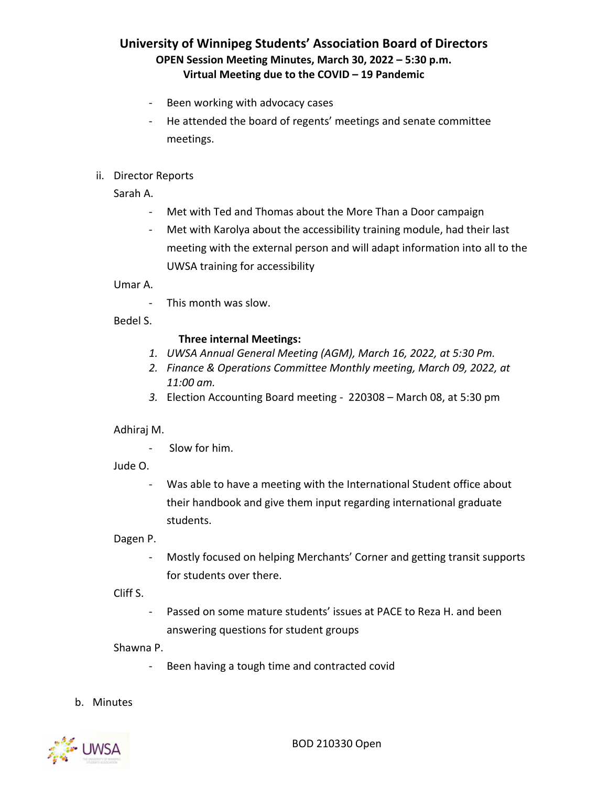- Been working with advocacy cases
- He attended the board of regents' meetings and senate committee meetings.
- ii. Director Reports

Sarah A.

- Met with Ted and Thomas about the More Than a Door campaign
- Met with Karolya about the accessibility training module, had their last meeting with the external person and will adapt information into all to the UWSA training for accessibility

Umar A.

- This month was slow.

#### Bedel S.

#### **Three internal Meetings:**

- *1. UWSA Annual General Meeting (AGM), March 16, 2022, at 5:30 Pm.*
- *2. Finance & Operations Committee Monthly meeting, March 09, 2022, at 11:00 am.*
- *3.* Election Accounting Board meeting 220308 March 08, at 5:30 pm

#### Adhiraj M.

- Slow for him.
- Jude O.
	- Was able to have a meeting with the International Student office about their handbook and give them input regarding international graduate students.

Dagen P.

- Mostly focused on helping Merchants' Corner and getting transit supports for students over there.

Cliff S.

- Passed on some mature students' issues at PACE to Reza H. and been answering questions for student groups

Shawna P.

- Been having a tough time and contracted covid
- b. Minutes

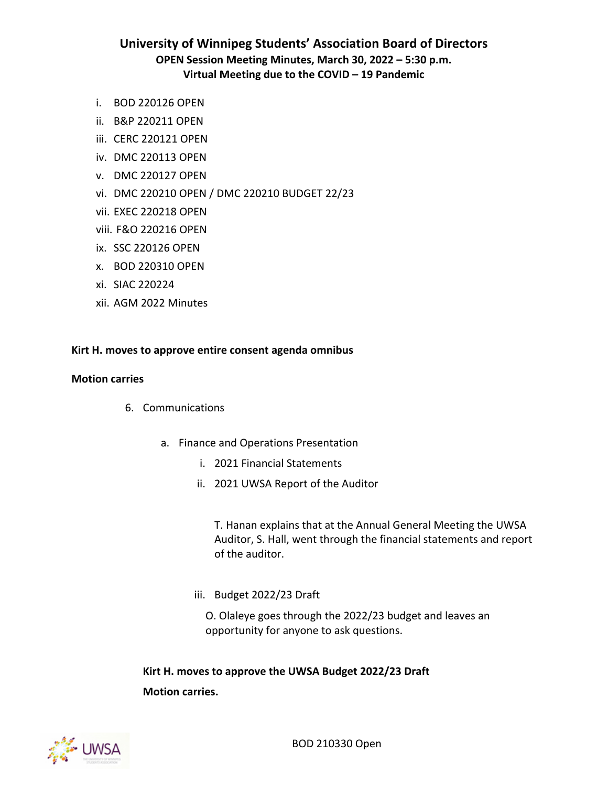- i. BOD 220126 OPEN
- ii. B&P 220211 OPEN
- iii. CERC 220121 OPEN
- iv. DMC 220113 OPEN
- v. DMC 220127 OPEN
- vi. DMC 220210 OPEN / DMC 220210 BUDGET 22/23
- vii. EXEC 220218 OPEN
- viii. F&O 220216 OPEN
- ix. SSC 220126 OPEN
- x. BOD 220310 OPEN
- xi. SIAC 220224
- xii. AGM 2022 Minutes

#### **Kirt H. moves to approve entire consent agenda omnibus**

#### **Motion carries**

- 6. Communications
	- a. Finance and Operations Presentation
		- i. 2021 Financial Statements
		- ii. 2021 UWSA Report of the Auditor

T. Hanan explains that at the Annual General Meeting the UWSA Auditor, S. Hall, went through the financial statements and report of the auditor.

iii. Budget 2022/23 Draft

O. Olaleye goes through the 2022/23 budget and leaves an opportunity for anyone to ask questions.

**Kirt H. moves to approve the UWSA Budget 2022/23 Draft Motion carries.**

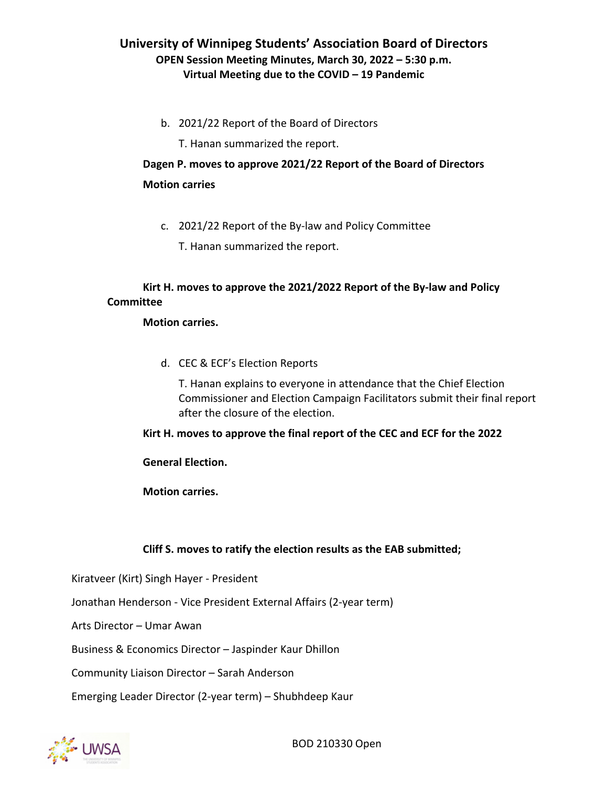- b. 2021/22 Report of the Board of Directors
	- T. Hanan summarized the report.

## **Dagen P. moves to approve 2021/22 Report of the Board of Directors Motion carries**

- c. 2021/22 Report of the By-law and Policy Committee
	- T. Hanan summarized the report.

## **Kirt H. moves to approve the 2021/2022 Report of the By-law and Policy Committee**

## **Motion carries.**

d. CEC & ECF's Election Reports

T. Hanan explains to everyone in attendance that the Chief Election Commissioner and Election Campaign Facilitators submit their final report after the closure of the election.

**Kirt H. moves to approve the final report of the CEC and ECF for the 2022** 

## **General Election.**

**Motion carries.**

## **Cliff S. moves to ratify the election results as the EAB submitted;**

Kiratveer (Kirt) Singh Hayer - President

Jonathan Henderson - Vice President External Affairs (2-year term)

Arts Director – Umar Awan

Business & Economics Director – Jaspinder Kaur Dhillon

Community Liaison Director – Sarah Anderson

Emerging Leader Director (2-year term) – Shubhdeep Kaur



BOD 210330 Open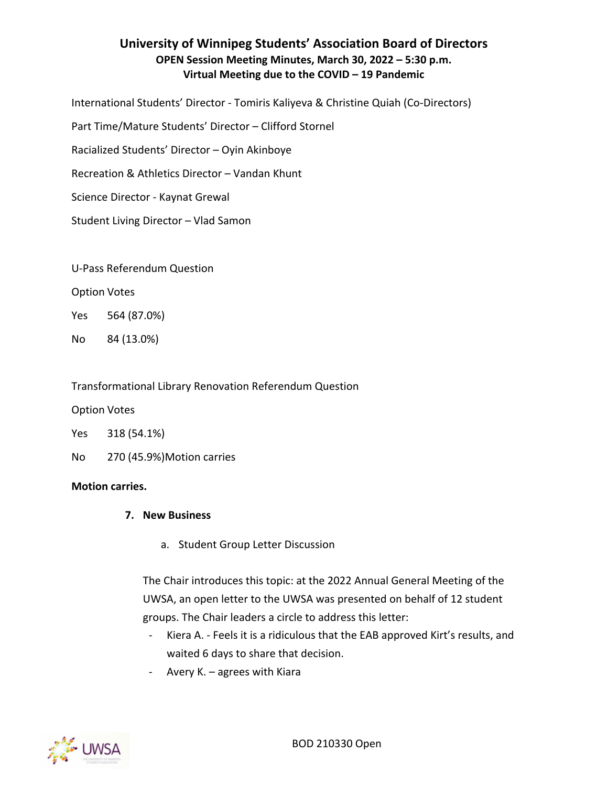International Students' Director - Tomiris Kaliyeva & Christine Quiah (Co-Directors)

Part Time/Mature Students' Director – Clifford Stornel

Racialized Students' Director – Oyin Akinboye

Recreation & Athletics Director – Vandan Khunt

Science Director - Kaynat Grewal

Student Living Director – Vlad Samon

U-Pass Referendum Question

Option Votes

Yes 564 (87.0%)

No 84 (13.0%)

Transformational Library Renovation Referendum Question

Option Votes

- Yes 318 (54.1%)
- No 270 (45.9%)Motion carries

#### **Motion carries.**

#### **7. New Business**

a. Student Group Letter Discussion

The Chair introduces this topic: at the 2022 Annual General Meeting of the UWSA, an open letter to the UWSA was presented on behalf of 12 student groups. The Chair leaders a circle to address this letter:

- Kiera A. Feels it is a ridiculous that the EAB approved Kirt's results, and waited 6 days to share that decision.
- Avery K. agrees with Kiara

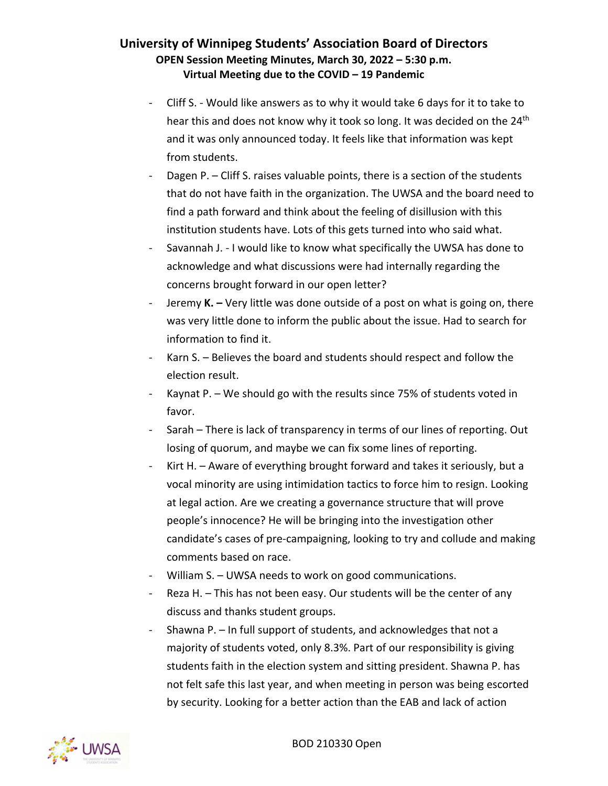- Cliff S. Would like answers as to why it would take 6 days for it to take to hear this and does not know why it took so long. It was decided on the 24<sup>th</sup> and it was only announced today. It feels like that information was kept from students.
- Dagen P. Cliff S. raises valuable points, there is a section of the students that do not have faith in the organization. The UWSA and the board need to find a path forward and think about the feeling of disillusion with this institution students have. Lots of this gets turned into who said what.
- Savannah J. I would like to know what specifically the UWSA has done to acknowledge and what discussions were had internally regarding the concerns brought forward in our open letter?
- Jeremy **K. –** Very little was done outside of a post on what is going on, there was very little done to inform the public about the issue. Had to search for information to find it.
- Karn S. Believes the board and students should respect and follow the election result.
- Kaynat P. We should go with the results since 75% of students voted in favor.
- Sarah There is lack of transparency in terms of our lines of reporting. Out losing of quorum, and maybe we can fix some lines of reporting.
- Kirt H. Aware of everything brought forward and takes it seriously, but a vocal minority are using intimidation tactics to force him to resign. Looking at legal action. Are we creating a governance structure that will prove people's innocence? He will be bringing into the investigation other candidate's cases of pre-campaigning, looking to try and collude and making comments based on race.
- William S. UWSA needs to work on good communications.
- Reza H. This has not been easy. Our students will be the center of any discuss and thanks student groups.
- Shawna P. In full support of students, and acknowledges that not a majority of students voted, only 8.3%. Part of our responsibility is giving students faith in the election system and sitting president. Shawna P. has not felt safe this last year, and when meeting in person was being escorted by security. Looking for a better action than the EAB and lack of action

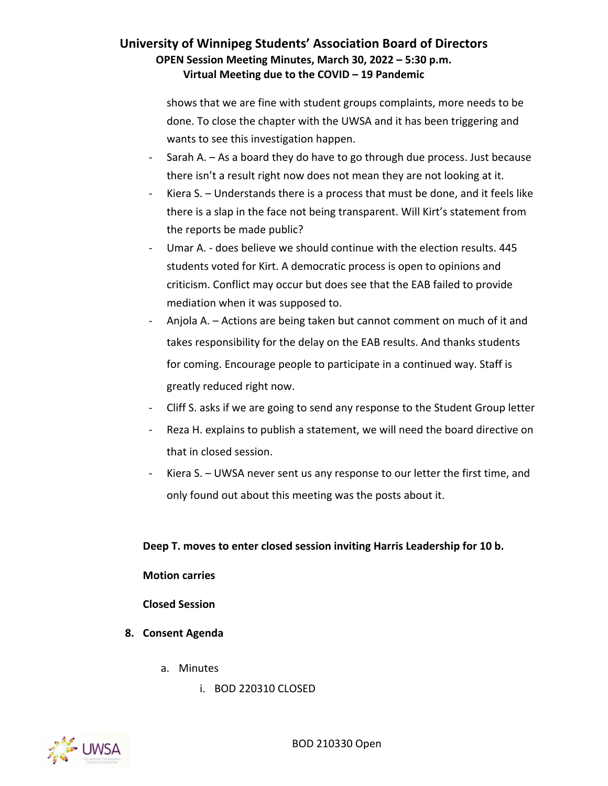shows that we are fine with student groups complaints, more needs to be done. To close the chapter with the UWSA and it has been triggering and wants to see this investigation happen.

- Sarah A. As a board they do have to go through due process. Just because there isn't a result right now does not mean they are not looking at it.
- Kiera S. Understands there is a process that must be done, and it feels like there is a slap in the face not being transparent. Will Kirt's statement from the reports be made public?
- Umar A. does believe we should continue with the election results. 445 students voted for Kirt. A democratic process is open to opinions and criticism. Conflict may occur but does see that the EAB failed to provide mediation when it was supposed to.
- Anjola A. Actions are being taken but cannot comment on much of it and takes responsibility for the delay on the EAB results. And thanks students for coming. Encourage people to participate in a continued way. Staff is greatly reduced right now.
- Cliff S. asks if we are going to send any response to the Student Group letter
- Reza H. explains to publish a statement, we will need the board directive on that in closed session.
- Kiera S. UWSA never sent us any response to our letter the first time, and only found out about this meeting was the posts about it.

**Deep T. moves to enter closed session inviting Harris Leadership for 10 b.**

## **Motion carries**

## **Closed Session**

- **8. Consent Agenda**
	- a. Minutes
		- i. BOD 220310 CLOSED

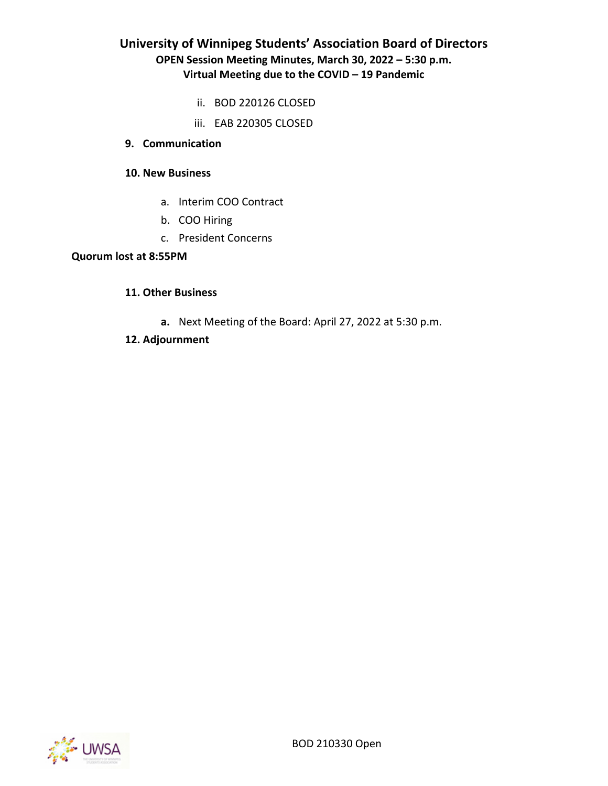- ii. BOD 220126 CLOSED
- iii. EAB 220305 CLOSED

#### **9. Communication**

#### **10. New Business**

- a. Interim COO Contract
- b. COO Hiring
- c. President Concerns

#### **Quorum lost at 8:55PM**

#### **11. Other Business**

**a.** Next Meeting of the Board: April 27, 2022 at 5:30 p.m.

## **12. Adjournment**

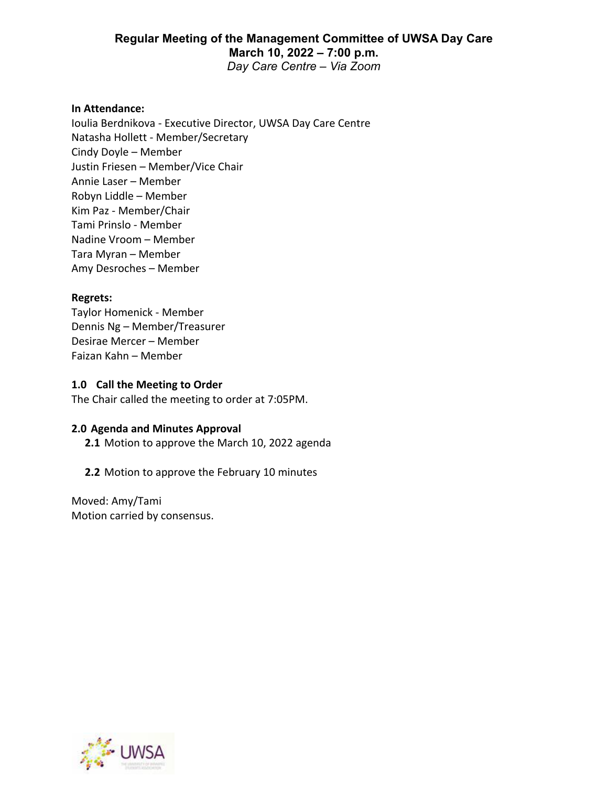#### **In Attendance:**

Ioulia Berdnikova - Executive Director, UWSA Day Care Centre Natasha Hollett - Member/Secretary Cindy Doyle – Member Justin Friesen – Member/Vice Chair Annie Laser – Member Robyn Liddle – Member Kim Paz - Member/Chair Tami Prinslo - Member Nadine Vroom – Member Tara Myran – Member Amy Desroches – Member

#### **Regrets:**

Taylor Homenick - Member Dennis Ng – Member/Treasurer Desirae Mercer – Member Faizan Kahn – Member

#### **1.0 Call the Meeting to Order**

The Chair called the meeting to order at 7:05PM.

#### **2.0 Agenda and Minutes Approval**

**2.1** Motion to approve the March 10, 2022 agenda

**2.2** Motion to approve the February 10 minutes

Moved: Amy/Tami Motion carried by consensus.

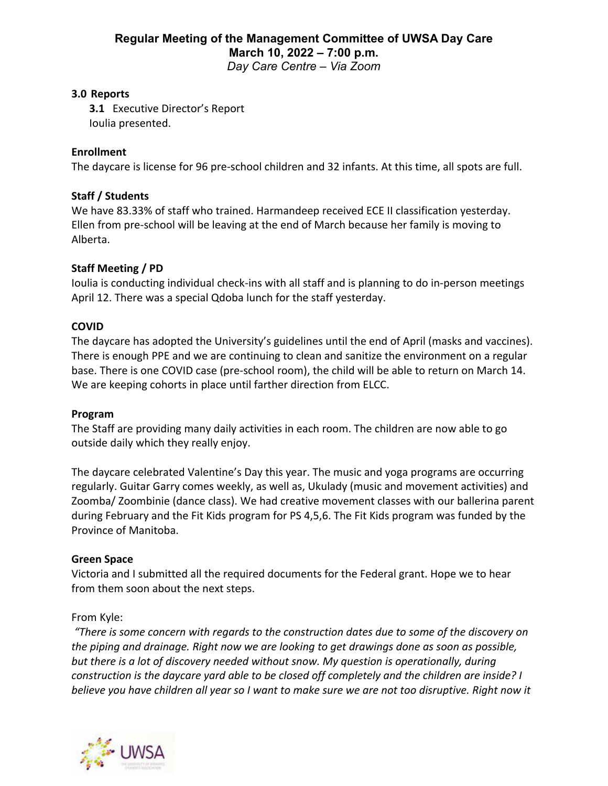## **3.0 Reports**

**3.1** Executive Director's Report Ioulia presented.

## **Enrollment**

The daycare is license for 96 pre-school children and 32 infants. At this time, all spots are full.

## **Staff / Students**

We have 83.33% of staff who trained. Harmandeep received ECE II classification yesterday. Ellen from pre-school will be leaving at the end of March because her family is moving to Alberta.

## **Staff Meeting / PD**

Ioulia is conducting individual check-ins with all staff and is planning to do in-person meetings April 12. There was a special Qdoba lunch for the staff yesterday.

## **COVID**

The daycare has adopted the University's guidelines until the end of April (masks and vaccines). There is enough PPE and we are continuing to clean and sanitize the environment on a regular base. There is one COVID case (pre-school room), the child will be able to return on March 14. We are keeping cohorts in place until farther direction from ELCC.

## **Program**

The Staff are providing many daily activities in each room. The children are now able to go outside daily which they really enjoy.

The daycare celebrated Valentine's Day this year. The music and yoga programs are occurring regularly. Guitar Garry comes weekly, as well as, Ukulady (music and movement activities) and Zoomba/ Zoombinie (dance class). We had creative movement classes with our ballerina parent during February and the Fit Kids program for PS 4,5,6. The Fit Kids program was funded by the Province of Manitoba.

## **Green Space**

Victoria and I submitted all the required documents for the Federal grant. Hope we to hear from them soon about the next steps.

## From Kyle:

*"There is some concern with regards to the construction dates due to some of the discovery on the piping and drainage. Right now we are looking to get drawings done as soon as possible, but there is a lot of discovery needed without snow. My question is operationally, during construction is the daycare yard able to be closed off completely and the children are inside? I believe you have children all year so I want to make sure we are not too disruptive. Right now it* 

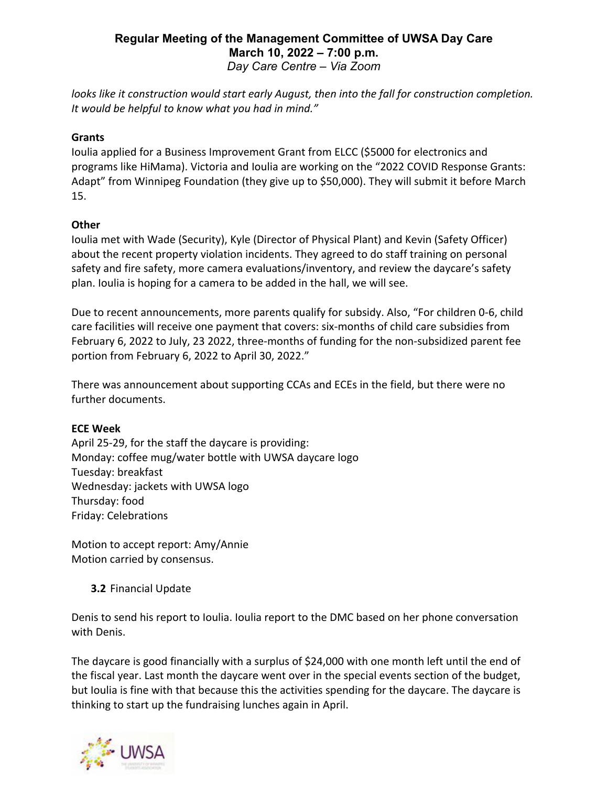*looks like it construction would start early August, then into the fall for construction completion. It would be helpful to know what you had in mind."*

## **Grants**

Ioulia applied for a Business Improvement Grant from ELCC (\$5000 for electronics and programs like HiMama). Victoria and Ioulia are working on the "2022 COVID Response Grants: Adapt" from Winnipeg Foundation (they give up to \$50,000). They will submit it before March 15.

## **Other**

Ioulia met with Wade (Security), Kyle (Director of Physical Plant) and Kevin (Safety Officer) about the recent property violation incidents. They agreed to do staff training on personal safety and fire safety, more camera evaluations/inventory, and review the daycare's safety plan. Ioulia is hoping for a camera to be added in the hall, we will see.

Due to recent announcements, more parents qualify for subsidy. Also, "For children 0-6, child care facilities will receive one payment that covers: six-months of child care subsidies from February 6, 2022 to July, 23 2022, three-months of funding for the non-subsidized parent fee portion from February 6, 2022 to April 30, 2022."

There was announcement about supporting CCAs and ECEs in the field, but there were no further documents.

## **ECE Week**

April 25-29, for the staff the daycare is providing: Monday: coffee mug/water bottle with UWSA daycare logo Tuesday: breakfast Wednesday: jackets with UWSA logo Thursday: food Friday: Celebrations

Motion to accept report: Amy/Annie Motion carried by consensus.

**3.2** Financial Update

Denis to send his report to Ioulia. Ioulia report to the DMC based on her phone conversation with Denis.

The daycare is good financially with a surplus of \$24,000 with one month left until the end of the fiscal year. Last month the daycare went over in the special events section of the budget, but Ioulia is fine with that because this the activities spending for the daycare. The daycare is thinking to start up the fundraising lunches again in April.

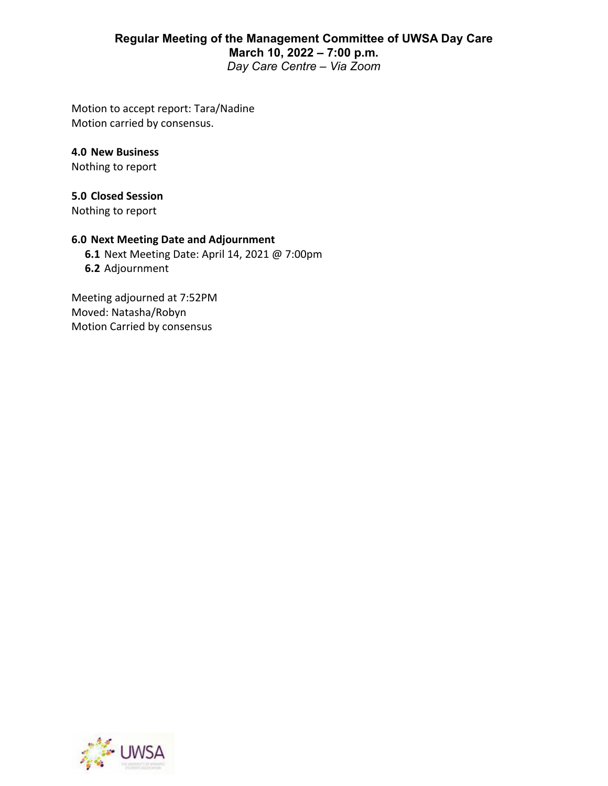Motion to accept report: Tara/Nadine Motion carried by consensus.

## **4.0 New Business**

Nothing to report

## **5.0 Closed Session**

Nothing to report

## **6.0 Next Meeting Date and Adjournment**

**6.1** Next Meeting Date: April 14, 2021 @ 7:00pm **6.2** Adjournment

Meeting adjourned at 7:52PM Moved: Natasha/Robyn Motion Carried by consensus

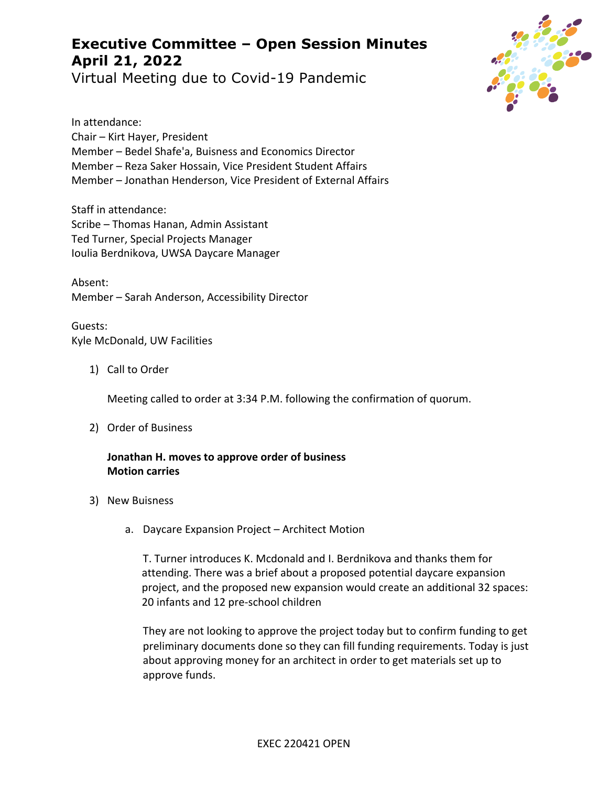# **Executive Committee – Open Session Minutes April 21, 2022**

Virtual Meeting due to Covid-19 Pandemic



In attendance: Chair – Kirt Hayer, President Member – Bedel Shafe'a, Buisness and Economics Director Member – Reza Saker Hossain, Vice President Student Affairs Member – Jonathan Henderson, Vice President of External Affairs

Staff in attendance: Scribe – Thomas Hanan, Admin Assistant Ted Turner, Special Projects Manager Ioulia Berdnikova, UWSA Daycare Manager

Absent: Member – Sarah Anderson, Accessibility Director

Guests: Kyle McDonald, UW Facilities

1) Call to Order

Meeting called to order at 3:34 P.M. following the confirmation of quorum.

2) Order of Business

## **Jonathan H. moves to approve order of business Motion carries**

- 3) New Buisness
	- a. Daycare Expansion Project Architect Motion

T. Turner introduces K. Mcdonald and I. Berdnikova and thanks them for attending. There was a brief about a proposed potential daycare expansion project, and the proposed new expansion would create an additional 32 spaces: 20 infants and 12 pre-school children

They are not looking to approve the project today but to confirm funding to get preliminary documents done so they can fill funding requirements. Today is just about approving money for an architect in order to get materials set up to approve funds.